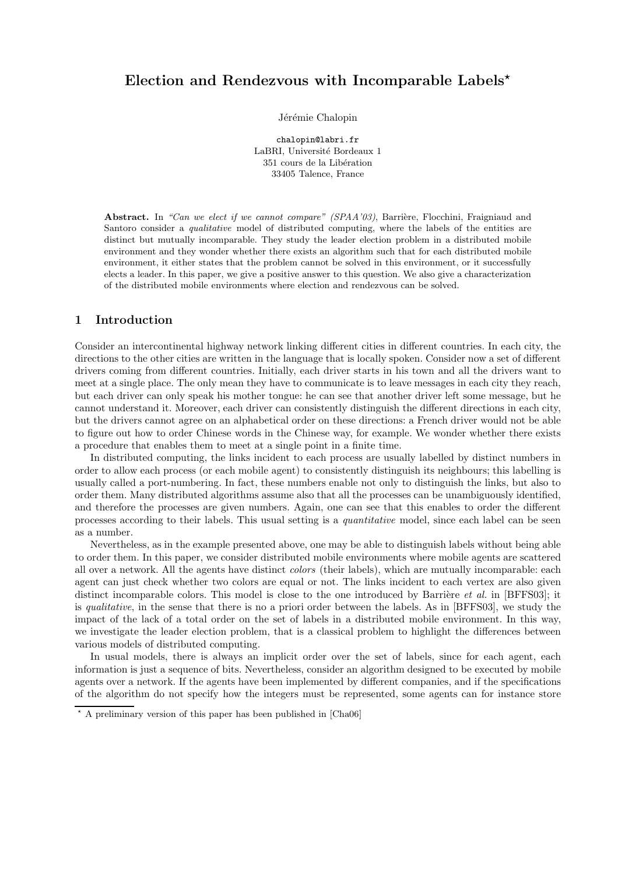# Election and Rendezvous with Incomparable Labels<sup>\*</sup>

Jérémie Chalopin

chalopin@labri.fr LaBRI, Université Bordeaux 1 351 cours de la Libération 33405 Talence, France

Abstract. In "Can we elect if we cannot compare" (SPAA'03), Barrière, Flocchini, Fraigniaud and Santoro consider a *qualitative* model of distributed computing, where the labels of the entities are distinct but mutually incomparable. They study the leader election problem in a distributed mobile environment and they wonder whether there exists an algorithm such that for each distributed mobile environment, it either states that the problem cannot be solved in this environment, or it successfully elects a leader. In this paper, we give a positive answer to this question. We also give a characterization of the distributed mobile environments where election and rendezvous can be solved.

### 1 Introduction

Consider an intercontinental highway network linking different cities in different countries. In each city, the directions to the other cities are written in the language that is locally spoken. Consider now a set of different drivers coming from different countries. Initially, each driver starts in his town and all the drivers want to meet at a single place. The only mean they have to communicate is to leave messages in each city they reach, but each driver can only speak his mother tongue: he can see that another driver left some message, but he cannot understand it. Moreover, each driver can consistently distinguish the different directions in each city, but the drivers cannot agree on an alphabetical order on these directions: a French driver would not be able to figure out how to order Chinese words in the Chinese way, for example. We wonder whether there exists a procedure that enables them to meet at a single point in a finite time.

In distributed computing, the links incident to each process are usually labelled by distinct numbers in order to allow each process (or each mobile agent) to consistently distinguish its neighbours; this labelling is usually called a port-numbering. In fact, these numbers enable not only to distinguish the links, but also to order them. Many distributed algorithms assume also that all the processes can be unambiguously identified, and therefore the processes are given numbers. Again, one can see that this enables to order the different processes according to their labels. This usual setting is a quantitative model, since each label can be seen as a number.

Nevertheless, as in the example presented above, one may be able to distinguish labels without being able to order them. In this paper, we consider distributed mobile environments where mobile agents are scattered all over a network. All the agents have distinct colors (their labels), which are mutually incomparable: each agent can just check whether two colors are equal or not. The links incident to each vertex are also given distinct incomparable colors. This model is close to the one introduced by Barrière *et al.* in [BFFS03]; it is qualitative, in the sense that there is no a priori order between the labels. As in [BFFS03], we study the impact of the lack of a total order on the set of labels in a distributed mobile environment. In this way, we investigate the leader election problem, that is a classical problem to highlight the differences between various models of distributed computing.

In usual models, there is always an implicit order over the set of labels, since for each agent, each information is just a sequence of bits. Nevertheless, consider an algorithm designed to be executed by mobile agents over a network. If the agents have been implemented by different companies, and if the specifications of the algorithm do not specify how the integers must be represented, some agents can for instance store

 $\overline{\phantom{a}^{\star}$  A preliminary version of this paper has been published in [Cha06]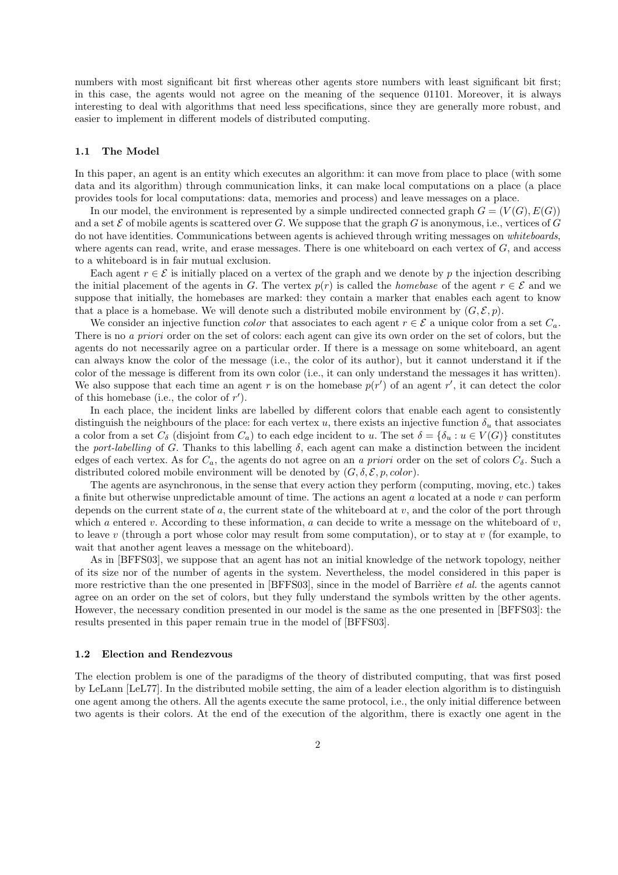numbers with most significant bit first whereas other agents store numbers with least significant bit first; in this case, the agents would not agree on the meaning of the sequence 01101. Moreover, it is always interesting to deal with algorithms that need less specifications, since they are generally more robust, and easier to implement in different models of distributed computing.

#### 1.1 The Model

In this paper, an agent is an entity which executes an algorithm: it can move from place to place (with some data and its algorithm) through communication links, it can make local computations on a place (a place provides tools for local computations: data, memories and process) and leave messages on a place.

In our model, the environment is represented by a simple undirected connected graph  $G = (V(G), E(G))$ and a set  $\mathcal E$  of mobile agents is scattered over G. We suppose that the graph G is anonymous, i.e., vertices of G do not have identities. Communications between agents is achieved through writing messages on whiteboards, where agents can read, write, and erase messages. There is one whiteboard on each vertex of  $G$ , and access to a whiteboard is in fair mutual exclusion.

Each agent  $r \in \mathcal{E}$  is initially placed on a vertex of the graph and we denote by p the injection describing the initial placement of the agents in G. The vertex  $p(r)$  is called the *homebase* of the agent  $r \in \mathcal{E}$  and we suppose that initially, the homebases are marked: they contain a marker that enables each agent to know that a place is a homebase. We will denote such a distributed mobile environment by  $(G, \mathcal{E}, p)$ .

We consider an injective function *color* that associates to each agent  $r \in \mathcal{E}$  a unique color from a set  $C_a$ . There is no a priori order on the set of colors: each agent can give its own order on the set of colors, but the agents do not necessarily agree on a particular order. If there is a message on some whiteboard, an agent can always know the color of the message (i.e., the color of its author), but it cannot understand it if the color of the message is different from its own color (i.e., it can only understand the messages it has written). We also suppose that each time an agent r is on the homebase  $p(r')$  of an agent r', it can detect the color of this homebase (i.e., the color of  $r'$ ).

In each place, the incident links are labelled by different colors that enable each agent to consistently distinguish the neighbours of the place: for each vertex u, there exists an injective function  $\delta_u$  that associates a color from a set  $C_{\delta}$  (disjoint from  $C_a$ ) to each edge incident to u. The set  $\delta = {\delta_u : u \in V(G)}$  constitutes the port-labelling of G. Thanks to this labelling  $\delta$ , each agent can make a distinction between the incident edges of each vertex. As for  $C_a$ , the agents do not agree on an a priori order on the set of colors  $C_{\delta}$ . Such a distributed colored mobile environment will be denoted by  $(G, \delta, \mathcal{E}, p, color)$ .

The agents are asynchronous, in the sense that every action they perform (computing, moving, etc.) takes a finite but otherwise unpredictable amount of time. The actions an agent  $a$  located at a node  $v$  can perform depends on the current state of a, the current state of the whiteboard at  $v$ , and the color of the port through which a entered v. According to these information, a can decide to write a message on the whiteboard of  $v$ , to leave v (through a port whose color may result from some computation), or to stay at v (for example, to wait that another agent leaves a message on the whiteboard).

As in [BFFS03], we suppose that an agent has not an initial knowledge of the network topology, neither of its size nor of the number of agents in the system. Nevertheless, the model considered in this paper is more restrictive than the one presented in  $[BFFS03]$ , since in the model of Barrière *et al.* the agents cannot agree on an order on the set of colors, but they fully understand the symbols written by the other agents. However, the necessary condition presented in our model is the same as the one presented in [BFFS03]: the results presented in this paper remain true in the model of [BFFS03].

### 1.2 Election and Rendezvous

The election problem is one of the paradigms of the theory of distributed computing, that was first posed by LeLann [LeL77]. In the distributed mobile setting, the aim of a leader election algorithm is to distinguish one agent among the others. All the agents execute the same protocol, i.e., the only initial difference between two agents is their colors. At the end of the execution of the algorithm, there is exactly one agent in the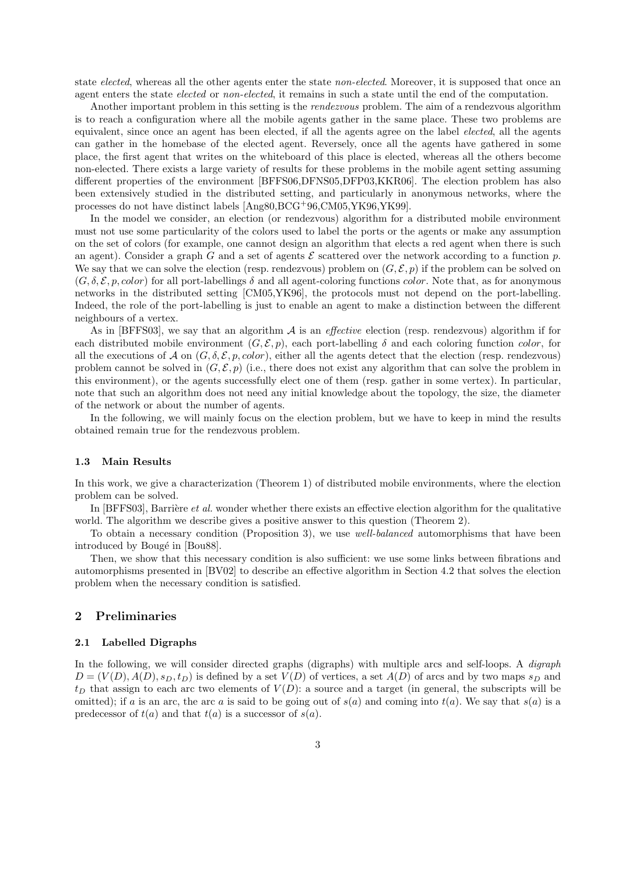state *elected*, whereas all the other agents enter the state *non-elected*. Moreover, it is supposed that once an agent enters the state elected or non-elected, it remains in such a state until the end of the computation.

Another important problem in this setting is the *rendezvous* problem. The aim of a rendezvous algorithm is to reach a configuration where all the mobile agents gather in the same place. These two problems are equivalent, since once an agent has been elected, if all the agents agree on the label elected, all the agents can gather in the homebase of the elected agent. Reversely, once all the agents have gathered in some place, the first agent that writes on the whiteboard of this place is elected, whereas all the others become non-elected. There exists a large variety of results for these problems in the mobile agent setting assuming different properties of the environment [BFFS06,DFNS05,DFP03,KKR06]. The election problem has also been extensively studied in the distributed setting, and particularly in anonymous networks, where the processes do not have distinct labels [Ang80,BCG<sup>+</sup>96,CM05,YK96,YK99].

In the model we consider, an election (or rendezvous) algorithm for a distributed mobile environment must not use some particularity of the colors used to label the ports or the agents or make any assumption on the set of colors (for example, one cannot design an algorithm that elects a red agent when there is such an agent). Consider a graph G and a set of agents  $\mathcal E$  scattered over the network according to a function p. We say that we can solve the election (resp. rendezvous) problem on  $(G, \mathcal{E}, p)$  if the problem can be solved on  $(G, \delta, \mathcal{E}, p, color)$  for all port-labellings  $\delta$  and all agent-coloring functions *color*. Note that, as for anonymous networks in the distributed setting [CM05,YK96], the protocols must not depend on the port-labelling. Indeed, the role of the port-labelling is just to enable an agent to make a distinction between the different neighbours of a vertex.

As in [BFFS03], we say that an algorithm  $\mathcal A$  is an *effective* election (resp. rendezvous) algorithm if for each distributed mobile environment  $(G, \mathcal{E}, p)$ , each port-labelling  $\delta$  and each coloring function *color*, for all the executions of A on  $(G, \delta, \mathcal{E}, p, color)$ , either all the agents detect that the election (resp. rendezvous) problem cannot be solved in  $(G, \mathcal{E}, p)$  (i.e., there does not exist any algorithm that can solve the problem in this environment), or the agents successfully elect one of them (resp. gather in some vertex). In particular, note that such an algorithm does not need any initial knowledge about the topology, the size, the diameter of the network or about the number of agents.

In the following, we will mainly focus on the election problem, but we have to keep in mind the results obtained remain true for the rendezvous problem.

### 1.3 Main Results

In this work, we give a characterization (Theorem 1) of distributed mobile environments, where the election problem can be solved.

In  $[BFFS03]$ , Barrière *et al.* wonder whether there exists an effective election algorithm for the qualitative world. The algorithm we describe gives a positive answer to this question (Theorem 2).

To obtain a necessary condition (Proposition 3), we use well-balanced automorphisms that have been introduced by Bougé in [Bou88].

Then, we show that this necessary condition is also sufficient: we use some links between fibrations and automorphisms presented in [BV02] to describe an effective algorithm in Section 4.2 that solves the election problem when the necessary condition is satisfied.

### 2 Preliminaries

### 2.1 Labelled Digraphs

In the following, we will consider directed graphs (digraphs) with multiple arcs and self-loops. A *digraph*  $D = (V(D), A(D), s_D, t_D)$  is defined by a set  $V(D)$  of vertices, a set  $A(D)$  of arcs and by two maps  $s_D$  and  $t_D$  that assign to each arc two elements of  $V(D)$ : a source and a target (in general, the subscripts will be omitted); if a is an arc, the arc a is said to be going out of  $s(a)$  and coming into  $t(a)$ . We say that  $s(a)$  is a predecessor of  $t(a)$  and that  $t(a)$  is a successor of  $s(a)$ .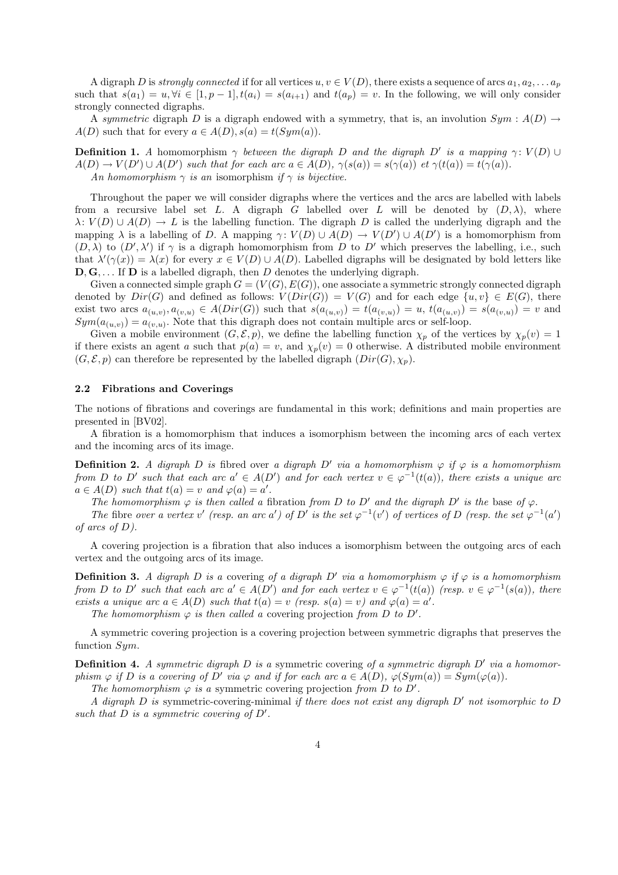A digraph D is strongly connected if for all vertices  $u, v \in V(D)$ , there exists a sequence of arcs  $a_1, a_2, \ldots a_p$ such that  $s(a_1) = u, \forall i \in [1, p-1], t(a_i) = s(a_{i+1})$  and  $t(a_p) = v$ . In the following, we will only consider strongly connected digraphs.

A symmetric digraph D is a digraph endowed with a symmetry, that is, an involution  $Sym : A(D) \rightarrow$  $A(D)$  such that for every  $a \in A(D)$ ,  $s(a) = t(Sym(a))$ .

**Definition 1.** A homomorphism  $\gamma$  between the digraph D and the digraph D' is a mapping  $\gamma: V(D) \cup$  $A(D) \to V(D') \cup A(D')$  such that for each arc  $a \in \overline{A(D)}$ ,  $\gamma(s(a)) = s(\gamma(a))$  et  $\gamma(t(a)) = t(\gamma(a))$ . An homomorphism  $\gamma$  is an isomorphism if  $\gamma$  is bijective.

Throughout the paper we will consider digraphs where the vertices and the arcs are labelled with labels from a recursive label set L. A digraph G labelled over L will be denoted by  $(D, \lambda)$ , where  $\lambda: V(D) \cup A(D) \to L$  is the labelling function. The digraph D is called the underlying digraph and the mapping  $\lambda$  is a labelling of D. A mapping  $\gamma: V(D) \cup A(D) \to V(D') \cup A(D')$  is a homomorphism from  $(D, \lambda)$  to  $(D', \lambda')$  if  $\gamma$  is a digraph homomorphism from D to D' which preserves the labelling, i.e., such that  $\lambda'(\gamma(x)) = \lambda(x)$  for every  $x \in V(D) \cup A(D)$ . Labelled digraphs will be designated by bold letters like  $\mathbf{D}, \mathbf{G}, \ldots$  If  $\mathbf{D}$  is a labelled digraph, then D denotes the underlying digraph.

Given a connected simple graph  $G = (V(G), E(G))$ , one associate a symmetric strongly connected digraph denoted by  $Dir(G)$  and defined as follows:  $V(Dir(G)) = V(G)$  and for each edge  $\{u, v\} \in E(G)$ , there exist two arcs  $a_{(u,v)}, a_{(v,u)} \in A(Dir(G))$  such that  $s(a_{(u,v)}) = t(a_{(v,u)}) = u$ ,  $t(a_{(u,v)}) = s(a_{(v,u)}) = v$  and  $Sym(a_{(u,v)}) = a_{(v,u)}$ . Note that this digraph does not contain multiple arcs or self-loop.

Given a mobile environment  $(G, \mathcal{E}, p)$ , we define the labelling function  $\chi_p$  of the vertices by  $\chi_p(v) = 1$ if there exists an agent a such that  $p(a) = v$ , and  $\chi_p(v) = 0$  otherwise. A distributed mobile environment  $(G, \mathcal{E}, p)$  can therefore be represented by the labelled digraph  $(Dir(G), \chi_n)$ .

#### 2.2 Fibrations and Coverings

The notions of fibrations and coverings are fundamental in this work; definitions and main properties are presented in [BV02].

A fibration is a homomorphism that induces a isomorphism between the incoming arcs of each vertex and the incoming arcs of its image.

**Definition 2.** A digraph D is fibred over a digraph D' via a homomorphism  $\varphi$  if  $\varphi$  is a homomorphism from D to D' such that each arc  $a' \in A(D')$  and for each vertex  $v \in \varphi^{-1}(t(a))$ , there exists a unique arc  $a \in A(D)$  such that  $t(a) = v$  and  $\varphi(a) = a'$ .

The homomorphism  $\varphi$  is then called a fibration from D to D' and the digraph D' is the base of  $\varphi$ .

The fibre over a vertex v' (resp. an arc a') of D' is the set  $\varphi^{-1}(v')$  of vertices of D (resp. the set  $\varphi^{-1}(a')$ ) of arcs of  $D$ ).

A covering projection is a fibration that also induces a isomorphism between the outgoing arcs of each vertex and the outgoing arcs of its image.

**Definition 3.** A digraph D is a covering of a digraph D' via a homomorphism  $\varphi$  if  $\varphi$  is a homomorphism from D to D' such that each arc  $a' \in A(D')$  and for each vertex  $v \in \varphi^{-1}(t(a))$  (resp.  $v \in \varphi^{-1}(s(a))$ , there exists a unique arc  $a \in A(D)$  such that  $t(a) = v$  (resp.  $s(a) = v$ ) and  $\varphi(a) = a'$ . The homomorphism  $\varphi$  is then called a covering projection from D to D'.

A symmetric covering projection is a covering projection between symmetric digraphs that preserves the function Sym.

**Definition 4.** A symmetric digraph  $D$  is a symmetric covering of a symmetric digraph  $D'$  via a homomorphism  $\varphi$  if D is a covering of D' via  $\varphi$  and if for each arc  $a \in A(D)$ ,  $\varphi(Sym(a)) = Sym(\varphi(a))$ .

The homomorphism  $\varphi$  is a symmetric covering projection from  $D$  to  $D'$ .

A digraph  $D$  is symmetric-covering-minimal if there does not exist any digraph  $D'$  not isomorphic to  $D$ such that  $\overrightarrow{D}$  is a symmetric covering of  $D'$ .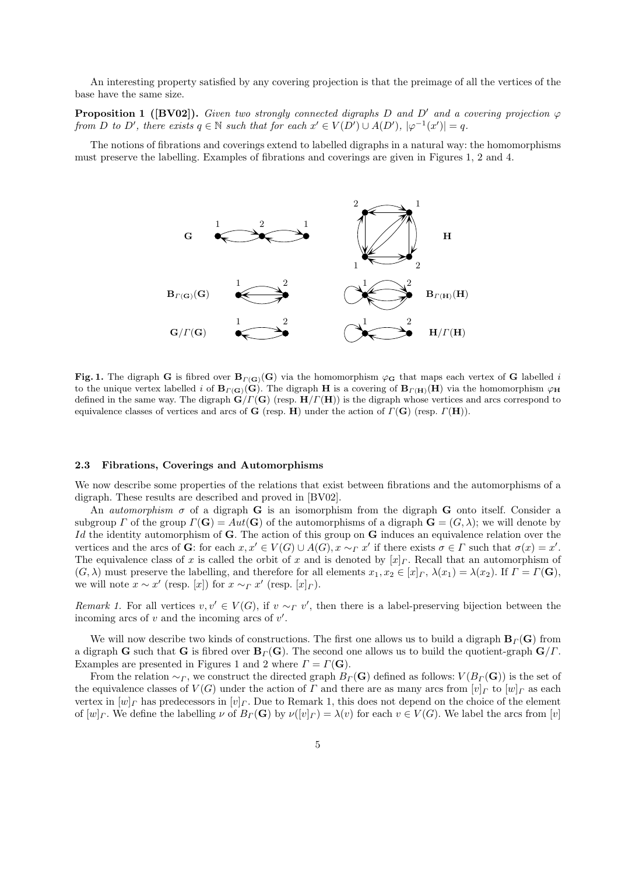An interesting property satisfied by any covering projection is that the preimage of all the vertices of the base have the same size.

**Proposition 1** ([BV02]). Given two strongly connected digraphs D and D' and a covering projection  $\varphi$ from D to D', there exists  $q \in \mathbb{N}$  such that for each  $x' \in V(D') \cup A(D')$ ,  $|\varphi^{-1}(x')| = q$ .

The notions of fibrations and coverings extend to labelled digraphs in a natural way: the homomorphisms must preserve the labelling. Examples of fibrations and coverings are given in Figures 1, 2 and 4.



Fig. 1. The digraph G is fibred over  $B_{\Gamma(G)}(G)$  via the homomorphism  $\varphi_G$  that maps each vertex of G labelled i to the unique vertex labelled i of  $B_{\Gamma(G)}(G)$ . The digraph H is a covering of  $B_{\Gamma(H)}(H)$  via the homomorphism  $\varphi_H$ defined in the same way. The digraph  $\mathbf{G}/\Gamma(\mathbf{G})$  (resp.  $\mathbf{H}/\Gamma(\mathbf{H})$ ) is the digraph whose vertices and arcs correspond to equivalence classes of vertices and arcs of **G** (resp. H) under the action of  $\Gamma(\mathbf{G})$  (resp.  $\Gamma(\mathbf{H})$ ).

#### 2.3 Fibrations, Coverings and Automorphisms

We now describe some properties of the relations that exist between fibrations and the automorphisms of a digraph. These results are described and proved in [BV02].

An *automorphism*  $\sigma$  of a digraph **G** is an isomorphism from the digraph **G** onto itself. Consider a subgroup  $\Gamma$  of the group  $\Gamma(\mathbf{G}) = Aut(\mathbf{G})$  of the automorphisms of a digraph  $\mathbf{G} = (G, \lambda)$ ; we will denote by Id the identity automorphism of  $\bf{G}$ . The action of this group on  $\bf{G}$  induces an equivalence relation over the vertices and the arcs of **G**: for each  $x, x' \in V(G) \cup A(G), x \sim_{\Gamma} x'$  if there exists  $\sigma \in \Gamma$  such that  $\sigma(x) = x'$ . The equivalence class of x is called the orbit of x and is denoted by  $[x]_r$ . Recall that an automorphism of  $(G, \lambda)$  must preserve the labelling, and therefore for all elements  $x_1, x_2 \in [x]_F$ ,  $\lambda(x_1) = \lambda(x_2)$ . If  $\Gamma = \Gamma(\mathbf{G})$ , we will note  $x \sim x'$  (resp. [x]) for  $x \sim r$   $x'$  (resp. [x]<sub>*Γ*</sub>).

Remark 1. For all vertices  $v, v' \in V(G)$ , if  $v \sim_{\Gamma} v'$ , then there is a label-preserving bijection between the incoming arcs of  $v$  and the incoming arcs of  $v'$ .

We will now describe two kinds of constructions. The first one allows us to build a digraph  $B_T(G)$  from a digraph G such that G is fibred over  $B<sub>\Gamma</sub>(G)$ . The second one allows us to build the quotient-graph  $G/\Gamma$ . Examples are presented in Figures 1 and 2 where  $\Gamma = \Gamma(\mathbf{G})$ .

From the relation ∼Γ, we construct the directed graph  $B<sub>\Gamma</sub>(G)$  defined as follows:  $V(B<sub>\Gamma</sub>(G))$  is the set of the equivalence classes of  $V(G)$  under the action of Γ and there are as many arcs from  $[v]_F$  to  $[w]_F$  as each vertex in  $[w]_r$  has predecessors in  $[v]_r$ . Due to Remark 1, this does not depend on the choice of the element of  $[w]_r$ . We define the labelling  $\nu$  of  $B_r(G)$  by  $\nu([v]_r) = \lambda(v)$  for each  $v \in V(G)$ . We label the arcs from  $[v]$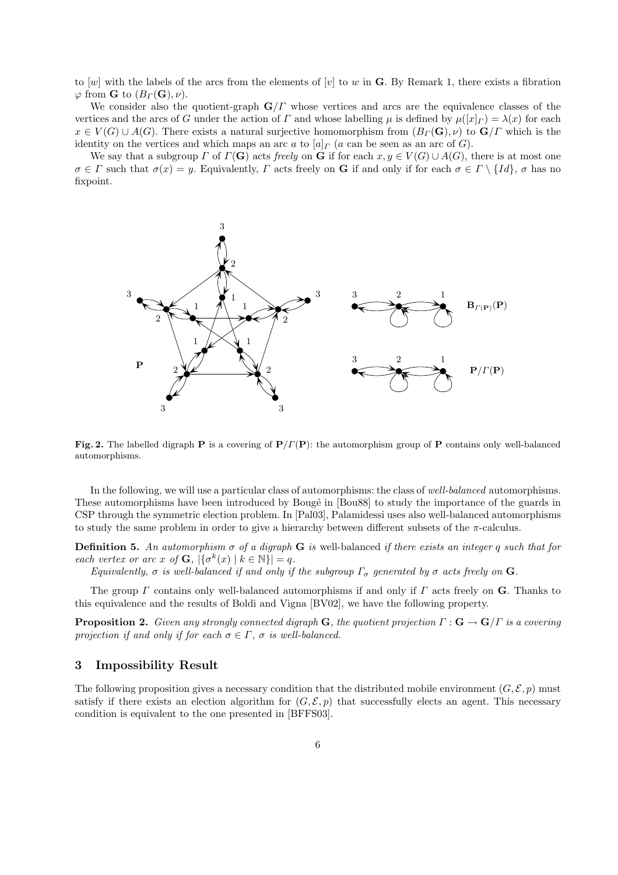to [w] with the labels of the arcs from the elements of [v] to w in G. By Remark 1, there exists a fibration  $\varphi$  from **G** to  $(B_\Gamma(\mathbf{G}), \nu)$ .

We consider also the quotient-graph  $G/\Gamma$  whose vertices and arcs are the equivalence classes of the vertices and the arcs of G under the action of Γ and whose labelling  $\mu$  is defined by  $\mu([x]_{\Gamma}) = \lambda(x)$  for each  $x \in V(G) \cup A(G)$ . There exists a natural surjective homomorphism from  $(B<sub>\Gamma</sub>(\mathbf{G}), \nu)$  to  $\mathbf{G}/\Gamma$  which is the identity on the vertices and which maps an arc a to  $[a]_r$  (a can be seen as an arc of G).

We say that a subgroup  $\Gamma$  of  $\Gamma(G)$  acts freely on G if for each  $x, y \in V(G) \cup A(G)$ , there is at most one  $\sigma \in \Gamma$  such that  $\sigma(x) = y$ . Equivalently,  $\Gamma$  acts freely on **G** if and only if for each  $\sigma \in \Gamma \setminus \{Id\}$ ,  $\sigma$  has no fixpoint.



Fig. 2. The labelled digraph P is a covering of  $P/\Gamma(P)$ : the automorphism group of P contains only well-balanced automorphisms.

In the following, we will use a particular class of automorphisms: the class of *well-balanced* automorphisms. These automorphisms have been introduced by Bougé in [Bou88] to study the importance of the guards in CSP through the symmetric election problem. In [Pal03], Palamidessi uses also well-balanced automorphisms to study the same problem in order to give a hierarchy between different subsets of the  $\pi$ -calculus.

**Definition 5.** An automorphism  $\sigma$  of a digraph G is well-balanced if there exists an integer q such that for each vertex or arc x of **G**,  $|\{\sigma^k(x) \mid k \in \mathbb{N}\}| = q$ .

Equivalently,  $\sigma$  is well-balanced if and only if the subgroup  $\Gamma_{\sigma}$  generated by  $\sigma$  acts freely on **G**.

The group  $\Gamma$  contains only well-balanced automorphisms if and only if  $\Gamma$  acts freely on **G**. Thanks to this equivalence and the results of Boldi and Vigna [BV02], we have the following property.

**Proposition 2.** Given any strongly connected digraph G, the quotient projection  $\Gamma : \mathbf{G} \to \mathbf{G}/\Gamma$  is a covering projection if and only if for each  $\sigma \in \Gamma$ ,  $\sigma$  is well-balanced.

### 3 Impossibility Result

The following proposition gives a necessary condition that the distributed mobile environment  $(G, \mathcal{E}, p)$  must satisfy if there exists an election algorithm for  $(G, \mathcal{E}, p)$  that successfully elects an agent. This necessary condition is equivalent to the one presented in [BFFS03].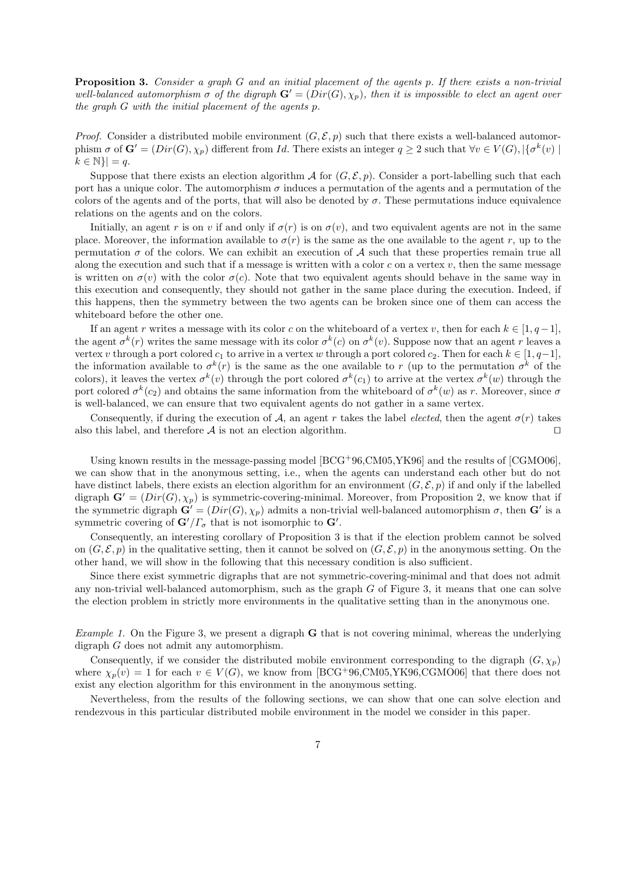**Proposition 3.** Consider a graph G and an initial placement of the agents p. If there exists a non-trivial well-balanced automorphism  $\sigma$  of the digraph  $\mathbf{G}' = (Dir(G), \chi_p)$ , then it is impossible to elect an agent over the graph G with the initial placement of the agents p.

*Proof.* Consider a distributed mobile environment  $(G, \mathcal{E}, p)$  such that there exists a well-balanced automorphism  $\sigma$  of  $\mathbf{G}' = (Dir(G), \chi_p)$  different from Id. There exists an integer  $q \geq 2$  such that  $\forall v \in V(G), |\{\sigma^k(v) \mid$  $k \in \mathbb{N}$ | = q.

Suppose that there exists an election algorithm A for  $(G, \mathcal{E}, p)$ . Consider a port-labelling such that each port has a unique color. The automorphism  $\sigma$  induces a permutation of the agents and a permutation of the colors of the agents and of the ports, that will also be denoted by  $\sigma$ . These permutations induce equivalence relations on the agents and on the colors.

Initially, an agent r is on v if and only if  $\sigma(r)$  is on  $\sigma(v)$ , and two equivalent agents are not in the same place. Moreover, the information available to  $\sigma(r)$  is the same as the one available to the agent r, up to the permutation  $\sigma$  of the colors. We can exhibit an execution of A such that these properties remain true all along the execution and such that if a message is written with a color  $c$  on a vertex  $v$ , then the same message is written on  $\sigma(v)$  with the color  $\sigma(c)$ . Note that two equivalent agents should behave in the same way in this execution and consequently, they should not gather in the same place during the execution. Indeed, if this happens, then the symmetry between the two agents can be broken since one of them can access the whiteboard before the other one.

If an agent r writes a message with its color c on the whiteboard of a vertex v, then for each  $k \in [1, q-1]$ , the agent  $\sigma^k(r)$  writes the same message with its color  $\sigma^k(c)$  on  $\sigma^k(v)$ . Suppose now that an agent r leaves a vertex v through a port colored  $c_1$  to arrive in a vertex w through a port colored  $c_2$ . Then for each  $k \in [1, q-1]$ , the information available to  $\sigma^k(r)$  is the same as the one available to r (up to the permutation  $\sigma^k$  of the colors), it leaves the vertex  $\sigma^k(v)$  through the port colored  $\sigma^k(c_1)$  to arrive at the vertex  $\sigma^k(w)$  through the port colored  $\sigma^k(c_2)$  and obtains the same information from the whiteboard of  $\sigma^k(w)$  as r. Moreover, since  $\sigma$ is well-balanced, we can ensure that two equivalent agents do not gather in a same vertex.

Consequently, if during the execution of A, an agent r takes the label *elected*, then the agent  $\sigma(r)$  takes also this label, and therefore  $\mathcal A$  is not an election algorithm. □

Using known results in the message-passing model [BCG<sup>+</sup>96,CM05,YK96] and the results of [CGMO06], we can show that in the anonymous setting, i.e., when the agents can understand each other but do not have distinct labels, there exists an election algorithm for an environment  $(G, \mathcal{E}, p)$  if and only if the labelled digraph  $\mathbf{G}' = (Dir(G), \chi_p)$  is symmetric-covering-minimal. Moreover, from Proposition 2, we know that if the symmetric digraph  $\mathbf{G}' = (Dir(G), \chi_p)$  admits a non-trivial well-balanced automorphism  $\sigma$ , then  $\mathbf{G}'$  is a symmetric covering of  $\mathbf{G}'/\Gamma_{\sigma}$  that is not isomorphic to  $\mathbf{G}'$ .

Consequently, an interesting corollary of Proposition 3 is that if the election problem cannot be solved on  $(G, \mathcal{E}, p)$  in the qualitative setting, then it cannot be solved on  $(G, \mathcal{E}, p)$  in the anonymous setting. On the other hand, we will show in the following that this necessary condition is also sufficient.

Since there exist symmetric digraphs that are not symmetric-covering-minimal and that does not admit any non-trivial well-balanced automorphism, such as the graph  $G$  of Figure 3, it means that one can solve the election problem in strictly more environments in the qualitative setting than in the anonymous one.

*Example 1.* On the Figure 3, we present a digraph  $\bf{G}$  that is not covering minimal, whereas the underlying digraph G does not admit any automorphism.

Consequently, if we consider the distributed mobile environment corresponding to the digraph  $(G, \chi_p)$ where  $\chi_p(v) = 1$  for each  $v \in V(G)$ , we know from [BCG+96,CM05,YK96,CGMO06] that there does not exist any election algorithm for this environment in the anonymous setting.

Nevertheless, from the results of the following sections, we can show that one can solve election and rendezvous in this particular distributed mobile environment in the model we consider in this paper.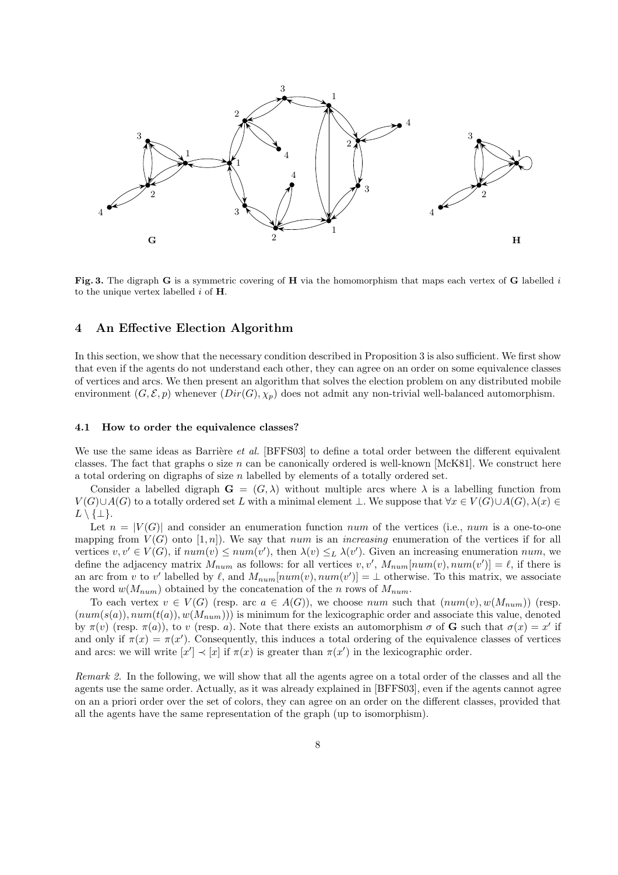

Fig. 3. The digraph G is a symmetric covering of H via the homomorphism that maps each vertex of G labelled i to the unique vertex labelled  $i$  of  $H$ .

### 4 An Effective Election Algorithm

In this section, we show that the necessary condition described in Proposition 3 is also sufficient. We first show that even if the agents do not understand each other, they can agree on an order on some equivalence classes of vertices and arcs. We then present an algorithm that solves the election problem on any distributed mobile environment  $(G, \mathcal{E}, p)$  whenever  $(Dir(G), \chi_p)$  does not admit any non-trivial well-balanced automorphism.

#### 4.1 How to order the equivalence classes?

We use the same ideas as Barrière *et al.* [BFFS03] to define a total order between the different equivalent classes. The fact that graphs o size n can be canonically ordered is well-known [McK81]. We construct here a total ordering on digraphs of size  $n$  labelled by elements of a totally ordered set.

Consider a labelled digraph  $\mathbf{G} = (G, \lambda)$  without multiple arcs where  $\lambda$  is a labelling function from  $V(G) \cup A(G)$  to a totally ordered set L with a minimal element  $\bot$ . We suppose that  $\forall x \in V(G) \cup A(G)$ ,  $\lambda(x) \in$  $L \setminus \{\perp\}.$ 

Let  $n = |V(G)|$  and consider an enumeration function num of the vertices (i.e., num is a one-to-one mapping from  $V(G)$  onto  $[1, n]$ . We say that num is an *increasing* enumeration of the vertices if for all vertices  $v, v' \in V(G)$ , if  $num(v) \leq num(v')$ , then  $\lambda(v) \leq_L \lambda(v')$ . Given an increasing enumeration num, we define the adjacency matrix  $M_{num}$  as follows: for all vertices v, v',  $M_{num}[num(v), num(v')] = \ell$ , if there is an arc from v to v' labelled by  $\ell$ , and  $M_{num}[num(v), num(v')] = \bot$  otherwise. To this matrix, we associate the word  $w(M_{num})$  obtained by the concatenation of the n rows of  $M_{num}$ .

To each vertex  $v \in V(G)$  (resp. arc  $a \in A(G)$ ), we choose num such that  $(num(v), w(M_{num}))$  (resp.  $(num(s(a)), num(t(a)), w(M_{num}))$  is minimum for the lexicographic order and associate this value, denoted by  $\pi(v)$  (resp.  $\pi(a)$ ), to v (resp. a). Note that there exists an automorphism  $\sigma$  of **G** such that  $\sigma(x) = x'$  if and only if  $\pi(x) = \pi(x')$ . Consequently, this induces a total ordering of the equivalence classes of vertices and arcs: we will write  $[x'] \prec [x]$  if  $\pi(x)$  is greater than  $\pi(x')$  in the lexicographic order.

Remark 2. In the following, we will show that all the agents agree on a total order of the classes and all the agents use the same order. Actually, as it was already explained in [BFFS03], even if the agents cannot agree on an a priori order over the set of colors, they can agree on an order on the different classes, provided that all the agents have the same representation of the graph (up to isomorphism).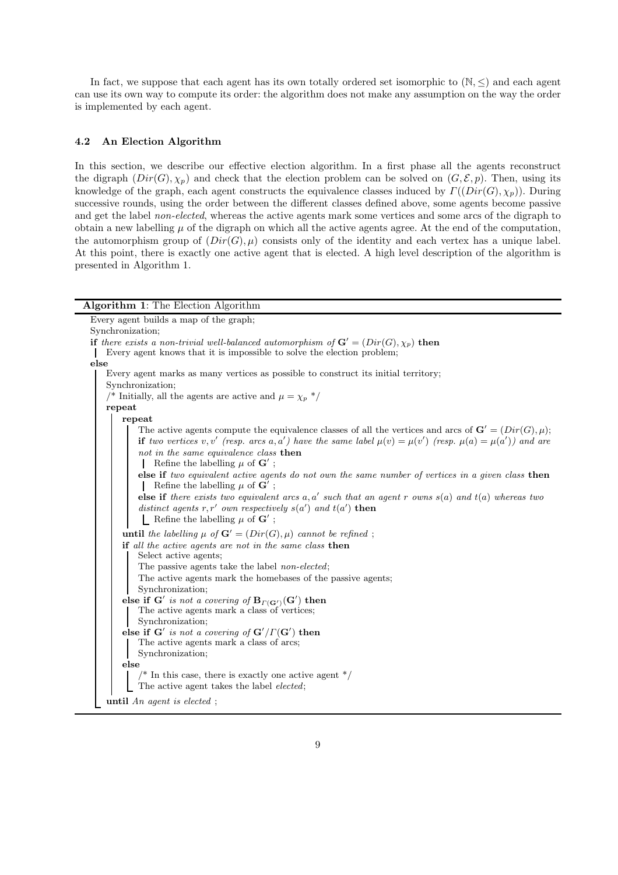In fact, we suppose that each agent has its own totally ordered set isomorphic to  $(N, \leq)$  and each agent can use its own way to compute its order: the algorithm does not make any assumption on the way the order is implemented by each agent.

### 4.2 An Election Algorithm

In this section, we describe our effective election algorithm. In a first phase all the agents reconstruct the digraph  $(Dir(G), \chi_p)$  and check that the election problem can be solved on  $(G, \mathcal{E}, p)$ . Then, using its knowledge of the graph, each agent constructs the equivalence classes induced by  $\Gamma((Dir(G), \chi_p))$ . During successive rounds, using the order between the different classes defined above, some agents become passive and get the label *non-elected*, whereas the active agents mark some vertices and some arcs of the digraph to obtain a new labelling  $\mu$  of the digraph on which all the active agents agree. At the end of the computation, the automorphism group of  $(Dir(G), \mu)$  consists only of the identity and each vertex has a unique label. At this point, there is exactly one active agent that is elected. A high level description of the algorithm is presented in Algorithm 1.

| <b>Algorithm 1:</b> The Election Algorithm                                                                                                         |  |  |
|----------------------------------------------------------------------------------------------------------------------------------------------------|--|--|
| Every agent builds a map of the graph;                                                                                                             |  |  |
| Synchronization;                                                                                                                                   |  |  |
| if there exists a non-trivial well-balanced automorphism of $\mathbf{G}' = (Dir(G), \chi_p)$ then                                                  |  |  |
| Every agent knows that it is impossible to solve the election problem;                                                                             |  |  |
| else                                                                                                                                               |  |  |
| Every agent marks as many vertices as possible to construct its initial territory;                                                                 |  |  |
| Synchronization;                                                                                                                                   |  |  |
| /* Initially, all the agents are active and $\mu = \chi_p$ */                                                                                      |  |  |
| repeat                                                                                                                                             |  |  |
| repeat                                                                                                                                             |  |  |
| The active agents compute the equivalence classes of all the vertices and arcs of $\mathbf{G}' = (Dir(G), \mu);$                                   |  |  |
| if two vertices v, v' (resp. arcs a, a') have the same label $\mu(v) = \mu(v')$ (resp. $\mu(a) = \mu(a')$ ) and are                                |  |  |
| not in the same equivalence class then                                                                                                             |  |  |
| Refine the labelling $\mu$ of $\mathbf{G}'$ ;                                                                                                      |  |  |
| else if two equivalent active agents do not own the same number of vertices in a given class then<br>Refine the labelling $\mu$ of $\mathbf{G}'$ ; |  |  |
| else if there exists two equivalent arcs $a, a'$ such that an agent r owns $s(a)$ and $t(a)$ whereas two                                           |  |  |
| distinct agents r, r' own respectively $s(a')$ and $t(a')$ then                                                                                    |  |  |
| Refine the labelling $\mu$ of $\mathbf{G}'$ ;                                                                                                      |  |  |
| <b>until</b> the labelling $\mu$ of $\mathbf{G}' = (Dir(G), \mu)$ cannot be refined;                                                               |  |  |
| if all the active agents are not in the same class then                                                                                            |  |  |
| Select active agents;                                                                                                                              |  |  |
| The passive agents take the label <i>non-elected</i> ;                                                                                             |  |  |
| The active agents mark the homebases of the passive agents;                                                                                        |  |  |
| Synchronization;                                                                                                                                   |  |  |
| else if G' is not a covering of $B_{\Gamma(G')}(G')$ then                                                                                          |  |  |
| The active agents mark a class of vertices;                                                                                                        |  |  |
| Synchronization;                                                                                                                                   |  |  |
| else if $G'$ is not a covering of $G'/\Gamma(G')$ then<br>The active agents mark a class of arcs;                                                  |  |  |
| Synchronization;                                                                                                                                   |  |  |
| else                                                                                                                                               |  |  |
| /* In this case, there is exactly one active agent $*/$                                                                                            |  |  |
| The active agent takes the label elected;                                                                                                          |  |  |
|                                                                                                                                                    |  |  |
| <b>until</b> An agent is elected;                                                                                                                  |  |  |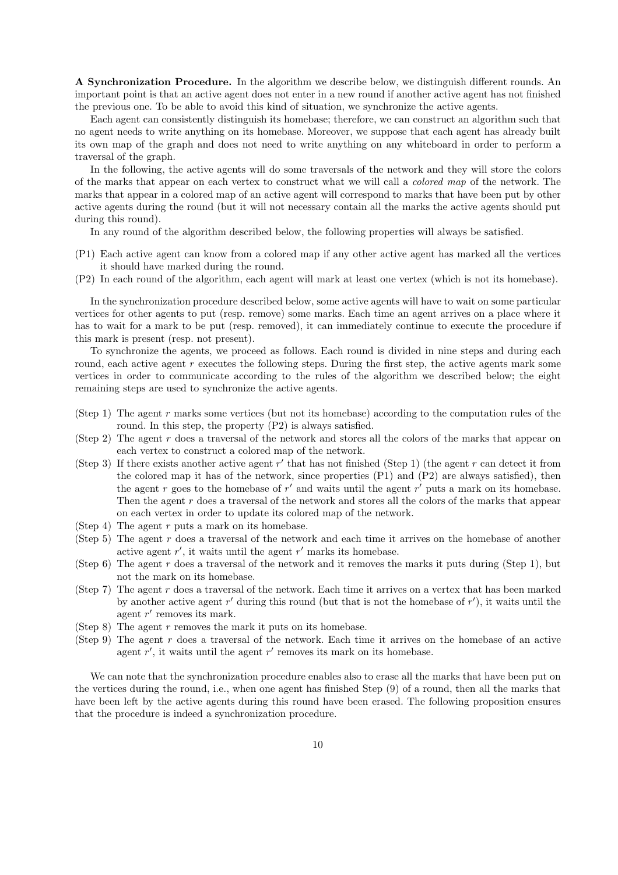A Synchronization Procedure. In the algorithm we describe below, we distinguish different rounds. An important point is that an active agent does not enter in a new round if another active agent has not finished the previous one. To be able to avoid this kind of situation, we synchronize the active agents.

Each agent can consistently distinguish its homebase; therefore, we can construct an algorithm such that no agent needs to write anything on its homebase. Moreover, we suppose that each agent has already built its own map of the graph and does not need to write anything on any whiteboard in order to perform a traversal of the graph.

In the following, the active agents will do some traversals of the network and they will store the colors of the marks that appear on each vertex to construct what we will call a colored map of the network. The marks that appear in a colored map of an active agent will correspond to marks that have been put by other active agents during the round (but it will not necessary contain all the marks the active agents should put during this round).

In any round of the algorithm described below, the following properties will always be satisfied.

- (P1) Each active agent can know from a colored map if any other active agent has marked all the vertices it should have marked during the round.
- (P2) In each round of the algorithm, each agent will mark at least one vertex (which is not its homebase).

In the synchronization procedure described below, some active agents will have to wait on some particular vertices for other agents to put (resp. remove) some marks. Each time an agent arrives on a place where it has to wait for a mark to be put (resp. removed), it can immediately continue to execute the procedure if this mark is present (resp. not present).

To synchronize the agents, we proceed as follows. Each round is divided in nine steps and during each round, each active agent r executes the following steps. During the first step, the active agents mark some vertices in order to communicate according to the rules of the algorithm we described below; the eight remaining steps are used to synchronize the active agents.

- (Step 1) The agent r marks some vertices (but not its homebase) according to the computation rules of the round. In this step, the property (P2) is always satisfied.
- (Step 2) The agent r does a traversal of the network and stores all the colors of the marks that appear on each vertex to construct a colored map of the network.
- (Step 3) If there exists another active agent  $r'$  that has not finished (Step 1) (the agent  $r$  can detect it from the colored map it has of the network, since properties  $(P1)$  and  $(P2)$  are always satisfied), then the agent r goes to the homebase of r' and waits until the agent r' puts a mark on its homebase. Then the agent r does a traversal of the network and stores all the colors of the marks that appear on each vertex in order to update its colored map of the network.
- (Step 4) The agent  $r$  puts a mark on its homebase.
- (Step 5) The agent r does a traversal of the network and each time it arrives on the homebase of another active agent  $r'$ , it waits until the agent  $r'$  marks its homebase.
- (Step 6) The agent  $r$  does a traversal of the network and it removes the marks it puts during (Step 1), but not the mark on its homebase.
- (Step 7) The agent r does a traversal of the network. Each time it arrives on a vertex that has been marked by another active agent  $r'$  during this round (but that is not the homebase of  $r'$ ), it waits until the agent  $r'$  removes its mark.
- (Step 8) The agent  $r$  removes the mark it puts on its homebase.
- (Step 9) The agent r does a traversal of the network. Each time it arrives on the homebase of an active agent  $r'$ , it waits until the agent  $r'$  removes its mark on its homebase.

We can note that the synchronization procedure enables also to erase all the marks that have been put on the vertices during the round, i.e., when one agent has finished Step (9) of a round, then all the marks that have been left by the active agents during this round have been erased. The following proposition ensures that the procedure is indeed a synchronization procedure.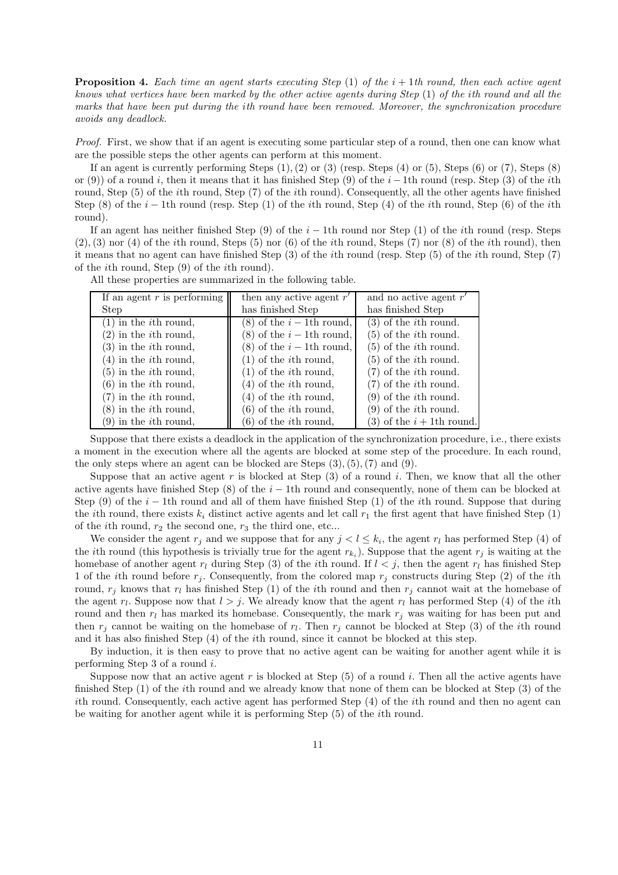**Proposition 4.** Each time an agent starts executing Step (1) of the  $i + 1$ th round, then each active agent knows what vertices have been marked by the other active agents during Step (1) of the ith round and all the marks that have been put during the ith round have been removed. Moreover, the synchronization procedure avoids any deadlock.

Proof. First, we show that if an agent is executing some particular step of a round, then one can know what are the possible steps the other agents can perform at this moment.

If an agent is currently performing Steps  $(1), (2)$  or  $(3)$  (resp. Steps  $(4)$  or  $(5),$  Steps  $(6)$  or  $(7),$  Steps  $(8)$ or (9)) of a round i, then it means that it has finished Step (9) of the  $i-1$ th round (resp. Step (3) of the ith round, Step (5) of the *i*th round, Step (7) of the *i*th round). Consequently, all the other agents have finished Step (8) of the  $i-1$ th round (resp. Step (1) of the *i*th round, Step (4) of the *i*th round, Step (6) of the *i*th round).

If an agent has neither finished Step (9) of the i − 1th round nor Step (1) of the i<sup>th</sup> round (resp. Steps  $(2), (3)$  nor  $(4)$  of the *i*th round, Steps  $(5)$  nor  $(6)$  of the *i*th round, Steps  $(7)$  nor  $(8)$  of the *i*th round), then it means that no agent can have finished Step (3) of the ith round (resp. Step (5) of the ith round, Step (7) of the ith round, Step (9) of the ith round).

| If an agent $r$ is performing   | then any active agent $r'$      | and no active agent $r'$        |
|---------------------------------|---------------------------------|---------------------------------|
| <b>Step</b>                     | has finished Step               | has finished Step               |
| $(1)$ in the <i>i</i> th round, | $(8)$ of the $i-1$ th round,    | $(3)$ of the <i>i</i> th round. |
| $(2)$ in the <i>i</i> th round, | $(8)$ of the $i-1$ th round,    | $(5)$ of the <i>i</i> th round. |
| $(3)$ in the <i>i</i> th round, | $(8)$ of the $i-1$ th round,    | $(5)$ of the <i>i</i> th round. |
| $(4)$ in the <i>i</i> th round, | $(1)$ of the <i>i</i> th round, | $(5)$ of the <i>i</i> th round. |
| $(5)$ in the <i>i</i> th round, | $(1)$ of the <i>i</i> th round, | $(7)$ of the <i>i</i> th round. |
| $(6)$ in the <i>i</i> th round, | $(4)$ of the <i>i</i> th round, | $(7)$ of the <i>i</i> th round. |
| $(7)$ in the <i>i</i> th round, | $(4)$ of the <i>i</i> th round, | $(9)$ of the <i>i</i> th round. |
| $(8)$ in the <i>i</i> th round, | $(6)$ of the <i>i</i> th round, | $(9)$ of the <i>i</i> th round. |
| $(9)$ in the <i>i</i> th round, | $(6)$ of the <i>i</i> th round, | (3) of the $i+1$ th round.      |

All these properties are summarized in the following table.

Suppose that there exists a deadlock in the application of the synchronization procedure, i.e., there exists a moment in the execution where all the agents are blocked at some step of the procedure. In each round, the only steps where an agent can be blocked are Steps  $(3), (5), (7)$  and  $(9)$ .

Suppose that an active agent r is blocked at Step  $(3)$  of a round i. Then, we know that all the other active agents have finished Step  $(8)$  of the  $i - 1$ th round and consequently, none of them can be blocked at Step (9) of the  $i - 1$ th round and all of them have finished Step (1) of the *i*th round. Suppose that during the *i*th round, there exists  $k_i$  distinct active agents and let call  $r_1$  the first agent that have finished Step (1) of the *i*th round,  $r_2$  the second one,  $r_3$  the third one, etc...

We consider the agent  $r_j$  and we suppose that for any  $j < l \leq k_i$ , the agent  $r_l$  has performed Step (4) of the *i*th round (this hypothesis is trivially true for the agent  $r_{k_i}$ ). Suppose that the agent  $r_j$  is waiting at the homebase of another agent  $r_l$  during Step (3) of the *i*th round. If  $l < j$ , then the agent  $r_l$  has finished Step 1 of the *i*th round before  $r_j$ . Consequently, from the colored map  $r_j$  constructs during Step (2) of the *i*th round,  $r_j$  knows that  $r_l$  has finished Step (1) of the *i*th round and then  $r_j$  cannot wait at the homebase of the agent  $r_l$ . Suppose now that  $l > j$ . We already know that the agent  $r_l$  has performed Step (4) of the *i*th round and then  $r_l$  has marked its homebase. Consequently, the mark  $r_j$  was waiting for has been put and then  $r_j$  cannot be waiting on the homebase of  $r_l$ . Then  $r_j$  cannot be blocked at Step (3) of the *i*th round and it has also finished Step (4) of the ith round, since it cannot be blocked at this step.

By induction, it is then easy to prove that no active agent can be waiting for another agent while it is performing Step 3 of a round i.

Suppose now that an active agent  $r$  is blocked at Step  $(5)$  of a round i. Then all the active agents have finished Step (1) of the ith round and we already know that none of them can be blocked at Step (3) of the ith round. Consequently, each active agent has performed Step (4) of the ith round and then no agent can be waiting for another agent while it is performing Step (5) of the ith round.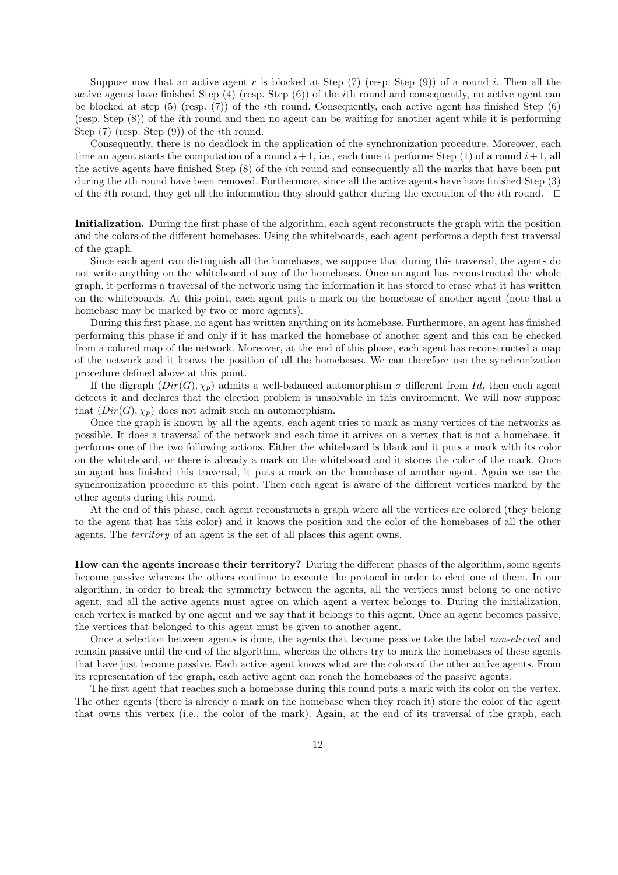Suppose now that an active agent r is blocked at Step (7) (resp. Step (9)) of a round i. Then all the active agents have finished Step (4) (resp. Step (6)) of the ith round and consequently, no active agent can be blocked at step (5) (resp. (7)) of the ith round. Consequently, each active agent has finished Step (6) (resp. Step (8)) of the ith round and then no agent can be waiting for another agent while it is performing Step (7) (resp. Step (9)) of the ith round.

Consequently, there is no deadlock in the application of the synchronization procedure. Moreover, each time an agent starts the computation of a round  $i+1$ , i.e., each time it performs Step (1) of a round  $i+1$ , all the active agents have finished Step (8) of the ith round and consequently all the marks that have been put during the ith round have been removed. Furthermore, since all the active agents have have finished Step (3) of the ith round, they get all the information they should gather during the execution of the ith round. ⊓⊔

Initialization. During the first phase of the algorithm, each agent reconstructs the graph with the position and the colors of the different homebases. Using the whiteboards, each agent performs a depth first traversal of the graph.

Since each agent can distinguish all the homebases, we suppose that during this traversal, the agents do not write anything on the whiteboard of any of the homebases. Once an agent has reconstructed the whole graph, it performs a traversal of the network using the information it has stored to erase what it has written on the whiteboards. At this point, each agent puts a mark on the homebase of another agent (note that a homebase may be marked by two or more agents).

During this first phase, no agent has written anything on its homebase. Furthermore, an agent has finished performing this phase if and only if it has marked the homebase of another agent and this can be checked from a colored map of the network. Moreover, at the end of this phase, each agent has reconstructed a map of the network and it knows the position of all the homebases. We can therefore use the synchronization procedure defined above at this point.

If the digraph  $(Dir(G), \chi_p)$  admits a well-balanced automorphism  $\sigma$  different from Id, then each agent detects it and declares that the election problem is unsolvable in this environment. We will now suppose that  $(Dir(G), \chi_n)$  does not admit such an automorphism.

Once the graph is known by all the agents, each agent tries to mark as many vertices of the networks as possible. It does a traversal of the network and each time it arrives on a vertex that is not a homebase, it performs one of the two following actions. Either the whiteboard is blank and it puts a mark with its color on the whiteboard, or there is already a mark on the whiteboard and it stores the color of the mark. Once an agent has finished this traversal, it puts a mark on the homebase of another agent. Again we use the synchronization procedure at this point. Then each agent is aware of the different vertices marked by the other agents during this round.

At the end of this phase, each agent reconstructs a graph where all the vertices are colored (they belong to the agent that has this color) and it knows the position and the color of the homebases of all the other agents. The territory of an agent is the set of all places this agent owns.

How can the agents increase their territory? During the different phases of the algorithm, some agents become passive whereas the others continue to execute the protocol in order to elect one of them. In our algorithm, in order to break the symmetry between the agents, all the vertices must belong to one active agent, and all the active agents must agree on which agent a vertex belongs to. During the initialization, each vertex is marked by one agent and we say that it belongs to this agent. Once an agent becomes passive, the vertices that belonged to this agent must be given to another agent.

Once a selection between agents is done, the agents that become passive take the label non-elected and remain passive until the end of the algorithm, whereas the others try to mark the homebases of these agents that have just become passive. Each active agent knows what are the colors of the other active agents. From its representation of the graph, each active agent can reach the homebases of the passive agents.

The first agent that reaches such a homebase during this round puts a mark with its color on the vertex. The other agents (there is already a mark on the homebase when they reach it) store the color of the agent that owns this vertex (i.e., the color of the mark). Again, at the end of its traversal of the graph, each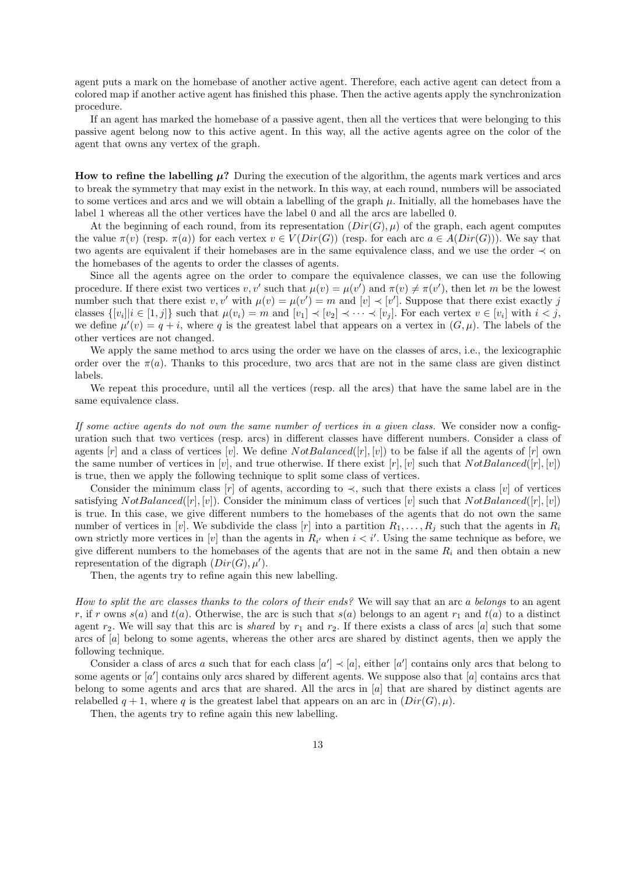agent puts a mark on the homebase of another active agent. Therefore, each active agent can detect from a colored map if another active agent has finished this phase. Then the active agents apply the synchronization procedure.

If an agent has marked the homebase of a passive agent, then all the vertices that were belonging to this passive agent belong now to this active agent. In this way, all the active agents agree on the color of the agent that owns any vertex of the graph.

How to refine the labelling  $\mu$ ? During the execution of the algorithm, the agents mark vertices and arcs to break the symmetry that may exist in the network. In this way, at each round, numbers will be associated to some vertices and arcs and we will obtain a labelling of the graph  $\mu$ . Initially, all the homebases have the label 1 whereas all the other vertices have the label 0 and all the arcs are labelled 0.

At the beginning of each round, from its representation  $(Dir(G), \mu)$  of the graph, each agent computes the value  $\pi(v)$  (resp.  $\pi(a)$ ) for each vertex  $v \in V(Dir(G))$  (resp. for each arc  $a \in A(Dir(G))$ ). We say that two agents are equivalent if their homebases are in the same equivalence class, and we use the order ≺ on the homebases of the agents to order the classes of agents.

Since all the agents agree on the order to compare the equivalence classes, we can use the following procedure. If there exist two vertices v, v' such that  $\mu(v) = \mu(v')$  and  $\pi(v) \neq \pi(v')$ , then let m be the lowest number such that there exist  $v, v'$  with  $\mu(v) = \mu(v') = m$  and  $[v] \prec [v']$ . Suppose that there exist exactly j classes  $\{[v_i]|i \in [1,j]\}$  such that  $\mu(v_i) = m$  and  $[v_1] \prec [v_2] \prec \cdots \prec [v_j]$ . For each vertex  $v \in [v_i]$  with  $i < j$ , we define  $\mu'(v) = q + i$ , where q is the greatest label that appears on a vertex in  $(G, \mu)$ . The labels of the other vertices are not changed.

We apply the same method to arcs using the order we have on the classes of arcs, i.e., the lexicographic order over the  $\pi(a)$ . Thanks to this procedure, two arcs that are not in the same class are given distinct labels.

We repeat this procedure, until all the vertices (resp. all the arcs) that have the same label are in the same equivalence class.

If some active agents do not own the same number of vertices in a given class. We consider now a configuration such that two vertices (resp. arcs) in different classes have different numbers. Consider a class of agents  $[r]$  and a class of vertices  $[v]$ . We define  $NotBalanced([r], [v])$  to be false if all the agents of  $[r]$  own the same number of vertices in [v], and true otherwise. If there exist [r], [v] such that  $NotBalanced([r], [v])$ is true, then we apply the following technique to split some class of vertices.

Consider the minimum class  $[r]$  of agents, according to  $\prec$ , such that there exists a class  $[v]$  of vertices satisfying  $NotBalanced([r], [v])$ . Consider the minimum class of vertices [v] such that  $NotBalanced([r], [v])$ is true. In this case, we give different numbers to the homebases of the agents that do not own the same number of vertices in [v]. We subdivide the class [r] into a partition  $R_1, \ldots, R_j$  such that the agents in  $R_i$ own strictly more vertices in [v] than the agents in  $R_{i'}$  when  $i < i'$ . Using the same technique as before, we give different numbers to the homebases of the agents that are not in the same  $R_i$  and then obtain a new representation of the digraph  $(Dir(G), \mu')$ .

Then, the agents try to refine again this new labelling.

How to split the arc classes thanks to the colors of their ends? We will say that an arc a belongs to an agent r, if r owns  $s(a)$  and  $t(a)$ . Otherwise, the arc is such that  $s(a)$  belongs to an agent  $r_1$  and  $t(a)$  to a distinct agent  $r_2$ . We will say that this arc is shared by  $r_1$  and  $r_2$ . If there exists a class of arcs [a] such that some arcs of [a] belong to some agents, whereas the other arcs are shared by distinct agents, then we apply the following technique.

Consider a class of arcs a such that for each class  $[a'] \prec [a]$ , either  $[a']$  contains only arcs that belong to some agents or  $[a']$  contains only arcs shared by different agents. We suppose also that  $[a]$  contains arcs that belong to some agents and arcs that are shared. All the arcs in [a] that are shared by distinct agents are relabelled  $q + 1$ , where q is the greatest label that appears on an arc in  $(Dir(G), \mu)$ .

Then, the agents try to refine again this new labelling.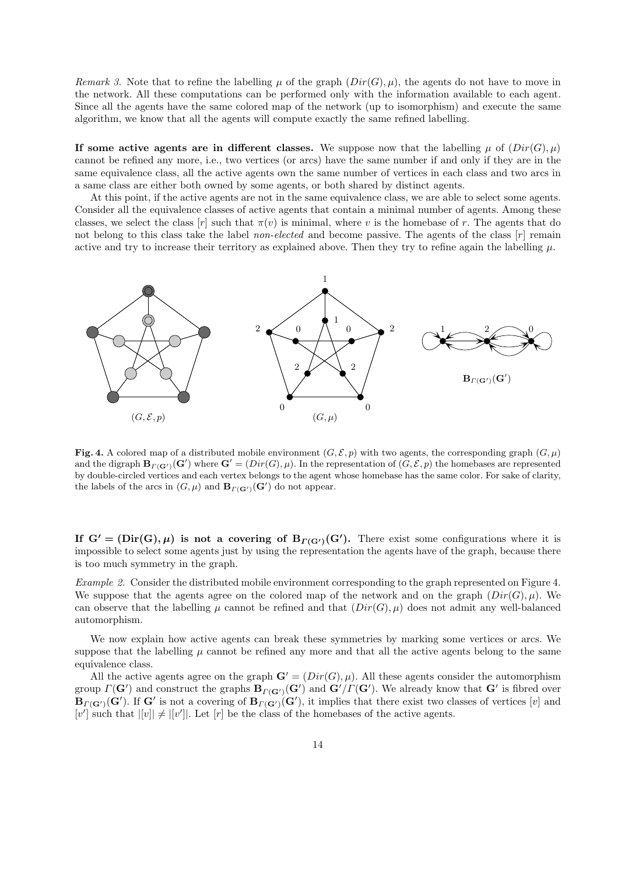Remark 3. Note that to refine the labelling  $\mu$  of the graph  $(Dir(G), \mu)$ , the agents do not have to move in the network. All these computations can be performed only with the information available to each agent. Since all the agents have the same colored map of the network (up to isomorphism) and execute the same algorithm, we know that all the agents will compute exactly the same refined labelling.

If some active agents are in different classes. We suppose now that the labelling  $\mu$  of  $(Dir(G), \mu)$ cannot be refined any more, i.e., two vertices (or arcs) have the same number if and only if they are in the same equivalence class, all the active agents own the same number of vertices in each class and two arcs in a same class are either both owned by some agents, or both shared by distinct agents.

At this point, if the active agents are not in the same equivalence class, we are able to select some agents. Consider all the equivalence classes of active agents that contain a minimal number of agents. Among these classes, we select the class  $[r]$  such that  $\pi(v)$  is minimal, where v is the homebase of r. The agents that do not belong to this class take the label *non-elected* and become passive. The agents of the class [r] remain active and try to increase their territory as explained above. Then they try to refine again the labelling  $\mu$ .



Fig. 4. A colored map of a distributed mobile environment  $(G, \mathcal{E}, p)$  with two agents, the corresponding graph  $(G, \mu)$ and the digraph  $\mathbf{B}_{\Gamma(\mathbf{G}')}(G')$  where  $\mathbf{G}' = (Dir(G), \mu)$ . In the representation of  $(G, \mathcal{E}, p)$  the homebases are represented by double-circled vertices and each vertex belongs to the agent whose homebase has the same color. For sake of clarity, the labels of the arcs in  $(G,\mu)$  and  ${\bf B}_{\Gamma(\mathbf{G}')}(G')$  do not appear.

If  $G' = (Dir(G), \mu)$  is not a covering of  $B_{\Gamma(G')}(G')$ . There exist some configurations where it is impossible to select some agents just by using the representation the agents have of the graph, because there is too much symmetry in the graph.

Example 2. Consider the distributed mobile environment corresponding to the graph represented on Figure 4. We suppose that the agents agree on the colored map of the network and on the graph  $(Dir(G), \mu)$ . We can observe that the labelling  $\mu$  cannot be refined and that  $(Dir(G), \mu)$  does not admit any well-balanced automorphism.

We now explain how active agents can break these symmetries by marking some vertices or arcs. We suppose that the labelling  $\mu$  cannot be refined any more and that all the active agents belong to the same equivalence class.

All the active agents agree on the graph  $\mathbf{G}' = (Dir(G), \mu)$ . All these agents consider the automorphism group  $\Gamma(\mathbf{G}')$  and construct the graphs  $\mathbf{B}_{\Gamma(\mathbf{G}')}(\mathbf{G}')$  and  $\mathbf{G'}/\Gamma(\mathbf{G}')$ . We already know that  $\mathbf{G}'$  is fibred over  $\overline{\mathbf{B}_{\Gamma(\mathbf{G}')}(\mathbf{G}')}$ . If  $\mathbf{G}'$  is not a covering of  $\overline{\mathbf{B}_{\Gamma(\mathbf{G}')}(\mathbf{G}')}$ , it implies that there exist two classes of vertices [v] and  $[v']$  such that  $|[v]| \neq |[v']|$ . Let  $[r]$  be the class of the homebases of the active agents.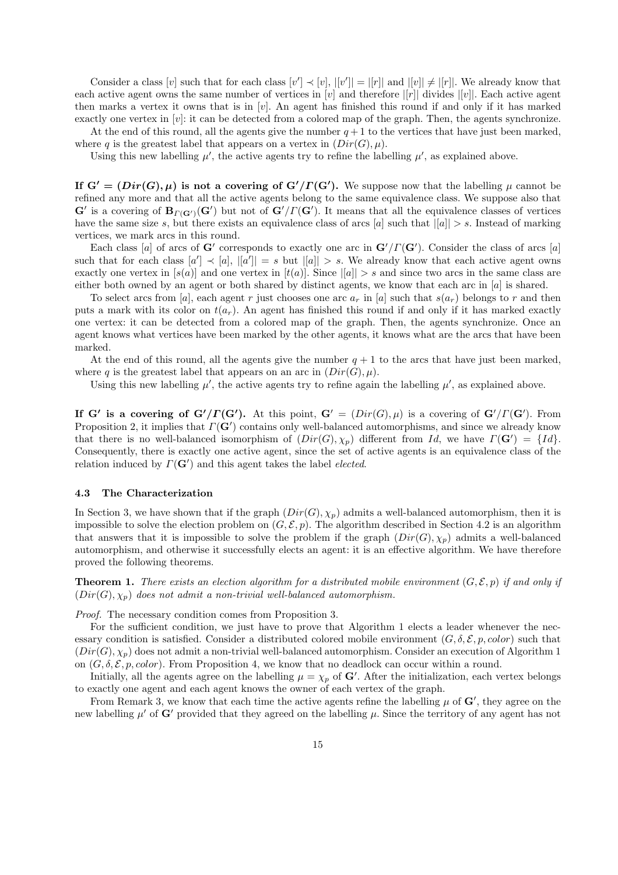Consider a class [v] such that for each class  $[v'] \prec [v]$ ,  $|[v']| = |[r]|$  and  $|[v]] \neq |[r]|$ . We already know that each active agent owns the same number of vertices in [v] and therefore  $||r||$  divides  $||v||$ . Each active agent then marks a vertex it owns that is in  $[v]$ . An agent has finished this round if and only if it has marked exactly one vertex in  $[v]$ : it can be detected from a colored map of the graph. Then, the agents synchronize.

At the end of this round, all the agents give the number  $q + 1$  to the vertices that have just been marked, where q is the greatest label that appears on a vertex in  $(Dir(G), \mu)$ .

Using this new labelling  $\mu'$ , the active agents try to refine the labelling  $\mu'$ , as explained above.

If  $G' = (Dir(G), \mu)$  is not a covering of  $G'/\Gamma(G')$ . We suppose now that the labelling  $\mu$  cannot be refined any more and that all the active agents belong to the same equivalence class. We suppose also that  ${\bf G}'$  is a covering of  ${\bf B}_{\Gamma({\bf G}')}(G')$  but not of  ${\bf G}'/\Gamma({\bf G}')$ . It means that all the equivalence classes of vertices have the same size s, but there exists an equivalence class of arcs  $[a]$  such that  $||a|| > s$ . Instead of marking vertices, we mark arcs in this round.

Each class [a] of arcs of G' corresponds to exactly one arc in  $G'/\Gamma(G')$ . Consider the class of arcs [a] such that for each class  $[a'] \prec [a], |[a']| = s$  but  $|[a]] > s$ . We already know that each active agent owns exactly one vertex in  $[s(a)]$  and one vertex in  $[t(a)]$ . Since  $|[a]| > s$  and since two arcs in the same class are either both owned by an agent or both shared by distinct agents, we know that each arc in [a] is shared.

To select arcs from [a], each agent r just chooses one arc  $a_r$  in [a] such that  $s(a_r)$  belongs to r and then puts a mark with its color on  $t(a_r)$ . An agent has finished this round if and only if it has marked exactly one vertex: it can be detected from a colored map of the graph. Then, the agents synchronize. Once an agent knows what vertices have been marked by the other agents, it knows what are the arcs that have been marked.

At the end of this round, all the agents give the number  $q + 1$  to the arcs that have just been marked, where q is the greatest label that appears on an arc in  $(Dir(G), \mu)$ .

Using this new labelling  $\mu'$ , the active agents try to refine again the labelling  $\mu'$ , as explained above.

If G' is a covering of G'/ $\Gamma$ (G'). At this point, G' =  $(Dir(G), \mu)$  is a covering of G'/ $\Gamma$ (G'). From Proposition 2, it implies that  $\Gamma(\mathbf{G}')$  contains only well-balanced automorphisms, and since we already know that there is no well-balanced isomorphism of  $(Dir(G), \chi_p)$  different from Id, we have  $\Gamma(\mathbf{G}') = \{Id\}.$ Consequently, there is exactly one active agent, since the set of active agents is an equivalence class of the relation induced by  $\Gamma(\mathbf{G}')$  and this agent takes the label *elected*.

#### 4.3 The Characterization

In Section 3, we have shown that if the graph  $(Dir(G), \chi_p)$  admits a well-balanced automorphism, then it is impossible to solve the election problem on  $(G, \mathcal{E}, p)$ . The algorithm described in Section 4.2 is an algorithm that answers that it is impossible to solve the problem if the graph  $(Dir(G), \chi_p)$  admits a well-balanced automorphism, and otherwise it successfully elects an agent: it is an effective algorithm. We have therefore proved the following theorems.

**Theorem 1.** There exists an election algorithm for a distributed mobile environment  $(G, \mathcal{E}, p)$  if and only if  $(Dir(G), \chi_p)$  does not admit a non-trivial well-balanced automorphism.

Proof. The necessary condition comes from Proposition 3.

For the sufficient condition, we just have to prove that Algorithm 1 elects a leader whenever the necessary condition is satisfied. Consider a distributed colored mobile environment  $(G, \delta, \mathcal{E}, p, color)$  such that  $(Dir(G), \chi_p)$  does not admit a non-trivial well-balanced automorphism. Consider an execution of Algorithm 1 on  $(G, \delta, \mathcal{E}, p, color)$ . From Proposition 4, we know that no deadlock can occur within a round.

Initially, all the agents agree on the labelling  $\mu = \chi_p$  of G'. After the initialization, each vertex belongs to exactly one agent and each agent knows the owner of each vertex of the graph.

From Remark 3, we know that each time the active agents refine the labelling  $\mu$  of  $\mathbf{G}'$ , they agree on the new labelling  $\mu'$  of  $\mathbf{G}'$  provided that they agreed on the labelling  $\mu$ . Since the territory of any agent has not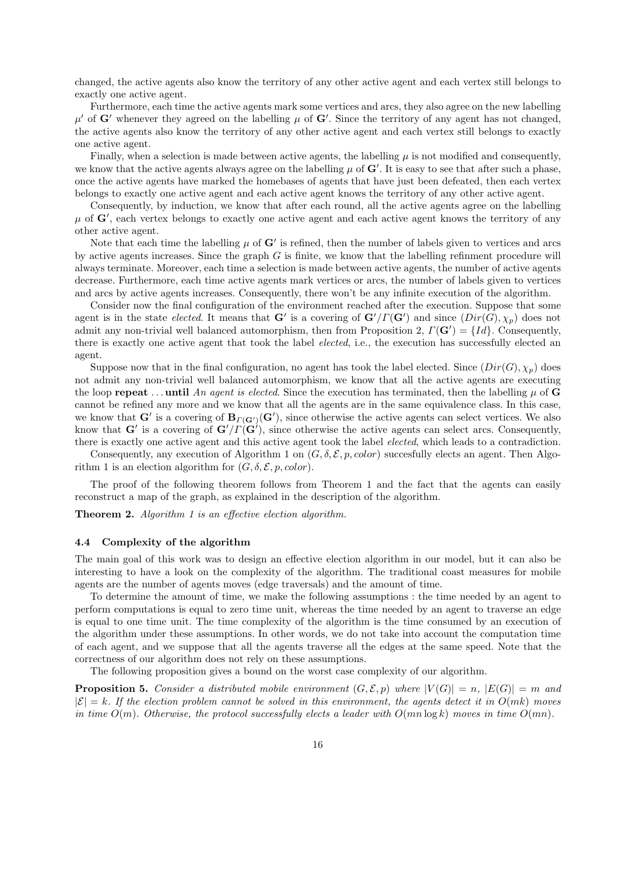changed, the active agents also know the territory of any other active agent and each vertex still belongs to exactly one active agent.

Furthermore, each time the active agents mark some vertices and arcs, they also agree on the new labelling  $\mu'$  of G' whenever they agreed on the labelling  $\mu$  of G'. Since the territory of any agent has not changed, the active agents also know the territory of any other active agent and each vertex still belongs to exactly one active agent.

Finally, when a selection is made between active agents, the labelling  $\mu$  is not modified and consequently, we know that the active agents always agree on the labelling  $\mu$  of  $\mathbf{G}'$ . It is easy to see that after such a phase, once the active agents have marked the homebases of agents that have just been defeated, then each vertex belongs to exactly one active agent and each active agent knows the territory of any other active agent.

Consequently, by induction, we know that after each round, all the active agents agree on the labelling  $\mu$  of  $\mathbf{G}'$ , each vertex belongs to exactly one active agent and each active agent knows the territory of any other active agent.

Note that each time the labelling  $\mu$  of  $\mathbf{G}'$  is refined, then the number of labels given to vertices and arcs by active agents increases. Since the graph  $G$  is finite, we know that the labelling refinment procedure will always terminate. Moreover, each time a selection is made between active agents, the number of active agents decrease. Furthermore, each time active agents mark vertices or arcs, the number of labels given to vertices and arcs by active agents increases. Consequently, there won't be any infinite execution of the algorithm.

Consider now the final configuration of the environment reached after the execution. Suppose that some agent is in the state *elected*. It means that **G'** is a covering of  $\mathbf{G}'/\Gamma(\mathbf{G}')$  and since  $(Dir(G), \chi_p)$  does not admit any non-trivial well balanced automorphism, then from Proposition 2,  $\Gamma(\mathbf{G}') = \{Id\}$ . Consequently, there is exactly one active agent that took the label elected, i.e., the execution has successfully elected an agent.

Suppose now that in the final configuration, no agent has took the label elected. Since  $(Dir(G), \chi_p)$  does not admit any non-trivial well balanced automorphism, we know that all the active agents are executing the loop repeat ... until An agent is elected. Since the execution has terminated, then the labelling  $\mu$  of G cannot be refined any more and we know that all the agents are in the same equivalence class. In this case, we know that  $\mathbf{G}'$  is a covering of  $\mathbf{B}_{\Gamma(\mathbf{G}')}(\mathbf{G}')$ , since otherwise the active agents can select vertices. We also know that  $G'$  is a covering of  $G'/\Gamma(G')$ , since otherwise the active agents can select arcs. Consequently, there is exactly one active agent and this active agent took the label elected, which leads to a contradiction.

Consequently, any execution of Algorithm 1 on  $(G, \delta, \mathcal{E}, p, color)$  succesfully elects an agent. Then Algorithm 1 is an election algorithm for  $(G, \delta, \mathcal{E}, p, color)$ .

The proof of the following theorem follows from Theorem 1 and the fact that the agents can easily reconstruct a map of the graph, as explained in the description of the algorithm.

Theorem 2. Algorithm 1 is an effective election algorithm.

#### 4.4 Complexity of the algorithm

The main goal of this work was to design an effective election algorithm in our model, but it can also be interesting to have a look on the complexity of the algorithm. The traditional coast measures for mobile agents are the number of agents moves (edge traversals) and the amount of time.

To determine the amount of time, we make the following assumptions : the time needed by an agent to perform computations is equal to zero time unit, whereas the time needed by an agent to traverse an edge is equal to one time unit. The time complexity of the algorithm is the time consumed by an execution of the algorithm under these assumptions. In other words, we do not take into account the computation time of each agent, and we suppose that all the agents traverse all the edges at the same speed. Note that the correctness of our algorithm does not rely on these assumptions.

The following proposition gives a bound on the worst case complexity of our algorithm.

**Proposition 5.** Consider a distributed mobile environment  $(G, \mathcal{E}, p)$  where  $|V(G)| = n$ ,  $|E(G)| = m$  and  $|\mathcal{E}| = k$ . If the election problem cannot be solved in this environment, the agents detect it in  $O(mk)$  moves in time  $O(m)$ . Otherwise, the protocol successfully elects a leader with  $O(mn \log k)$  moves in time  $O(mn)$ .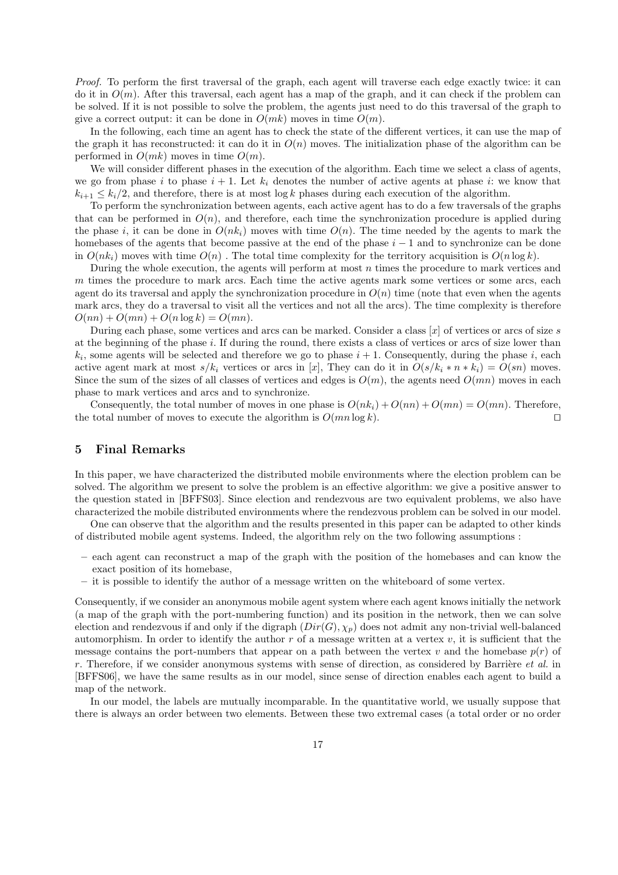Proof. To perform the first traversal of the graph, each agent will traverse each edge exactly twice: it can do it in  $O(m)$ . After this traversal, each agent has a map of the graph, and it can check if the problem can be solved. If it is not possible to solve the problem, the agents just need to do this traversal of the graph to give a correct output: it can be done in  $O(mk)$  moves in time  $O(m)$ .

In the following, each time an agent has to check the state of the different vertices, it can use the map of the graph it has reconstructed: it can do it in  $O(n)$  moves. The initialization phase of the algorithm can be performed in  $O(mk)$  moves in time  $O(m)$ .

We will consider different phases in the execution of the algorithm. Each time we select a class of agents, we go from phase i to phase  $i + 1$ . Let  $k_i$  denotes the number of active agents at phase i: we know that  $k_{i+1} \leq k_i/2$ , and therefore, there is at most log k phases during each execution of the algorithm.

To perform the synchronization between agents, each active agent has to do a few traversals of the graphs that can be performed in  $O(n)$ , and therefore, each time the synchronization procedure is applied during the phase i, it can be done in  $O(nk_i)$  moves with time  $O(n)$ . The time needed by the agents to mark the homebases of the agents that become passive at the end of the phase  $i - 1$  and to synchronize can be done in  $O(nk_i)$  moves with time  $O(n)$ . The total time complexity for the territory acquisition is  $O(n \log k)$ .

During the whole execution, the agents will perform at most  $n$  times the procedure to mark vertices and m times the procedure to mark arcs. Each time the active agents mark some vertices or some arcs, each agent do its traversal and apply the synchronization procedure in  $O(n)$  time (note that even when the agents mark arcs, they do a traversal to visit all the vertices and not all the arcs). The time complexity is therefore  $O(nn) + O(mn) + O(n \log k) = O(mn)$ .

During each phase, some vertices and arcs can be marked. Consider a class  $[x]$  of vertices or arcs of size s at the beginning of the phase i. If during the round, there exists a class of vertices or arcs of size lower than  $k_i$ , some agents will be selected and therefore we go to phase  $i + 1$ . Consequently, during the phase i, each active agent mark at most  $s/k_i$  vertices or arcs in [x], They can do it in  $O(s/k_i * n * k_i) = O(sn)$  moves. Since the sum of the sizes of all classes of vertices and edges is  $O(m)$ , the agents need  $O(mn)$  moves in each phase to mark vertices and arcs and to synchronize.

Consequently, the total number of moves in one phase is  $O(nk_i) + O(nn) + O(mn) = O(mn)$ . Therefore, the total number of moves to execute the algorithm is  $O(mn \log k)$ . □

## 5 Final Remarks

In this paper, we have characterized the distributed mobile environments where the election problem can be solved. The algorithm we present to solve the problem is an effective algorithm: we give a positive answer to the question stated in [BFFS03]. Since election and rendezvous are two equivalent problems, we also have characterized the mobile distributed environments where the rendezvous problem can be solved in our model.

One can observe that the algorithm and the results presented in this paper can be adapted to other kinds of distributed mobile agent systems. Indeed, the algorithm rely on the two following assumptions :

- each agent can reconstruct a map of the graph with the position of the homebases and can know the exact position of its homebase,
- it is possible to identify the author of a message written on the whiteboard of some vertex.

Consequently, if we consider an anonymous mobile agent system where each agent knows initially the network (a map of the graph with the port-numbering function) and its position in the network, then we can solve election and rendezvous if and only if the digraph  $(Dir(G), \chi_p)$  does not admit any non-trivial well-balanced automorphism. In order to identify the author  $r$  of a message written at a vertex  $v$ , it is sufficient that the message contains the port-numbers that appear on a path between the vertex v and the homebase  $p(r)$  of  $r$ . Therefore, if we consider anonymous systems with sense of direction, as considered by Barrière et al. in [BFFS06], we have the same results as in our model, since sense of direction enables each agent to build a map of the network.

In our model, the labels are mutually incomparable. In the quantitative world, we usually suppose that there is always an order between two elements. Between these two extremal cases (a total order or no order